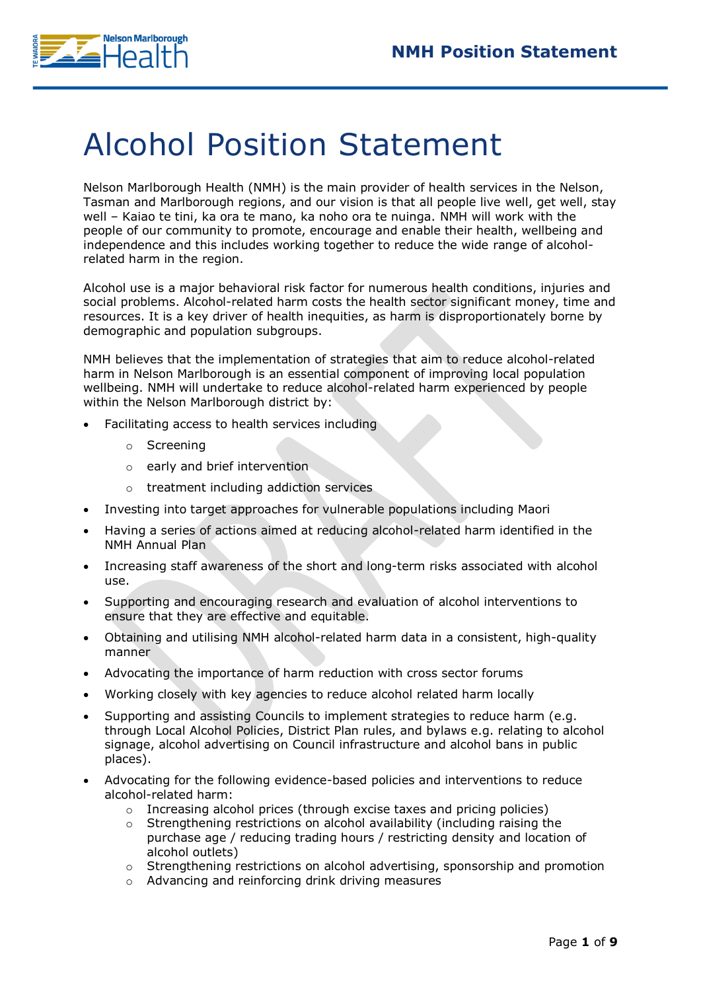

# Alcohol Position Statement

Nelson Marlborough Health (NMH) is the main provider of health services in the Nelson, Tasman and Marlborough regions, and our vision is that all people live well, get well, stay well – Kaiao te tini, ka ora te mano, ka noho ora te nuinga. NMH will work with the people of our community to promote, encourage and enable their health, wellbeing and independence and this includes working together to reduce the wide range of alcoholrelated harm in the region.

Alcohol use is a major behavioral risk factor for numerous health conditions, injuries and social problems. Alcohol-related harm costs the health sector significant money, time and resources. It is a key driver of health inequities, as harm is disproportionately borne by demographic and population subgroups.

NMH believes that the implementation of strategies that aim to reduce alcohol-related harm in Nelson Marlborough is an essential component of improving local population wellbeing. NMH will undertake to reduce alcohol-related harm experienced by people within the Nelson Marlborough district by:

- Facilitating access to health services including
	- o Screening
	- o early and brief intervention
	- o treatment including addiction services
- Investing into target approaches for vulnerable populations including Maori
- Having a series of actions aimed at reducing alcohol-related harm identified in the NMH Annual Plan
- Increasing staff awareness of the short and long-term risks associated with alcohol use.
- Supporting and encouraging research and evaluation of alcohol interventions to ensure that they are effective and equitable.
- Obtaining and utilising NMH alcohol-related harm data in a consistent, high-quality manner
- Advocating the importance of harm reduction with cross sector forums
- Working closely with key agencies to reduce alcohol related harm locally
- Supporting and assisting Councils to implement strategies to reduce harm (e.g. through Local Alcohol Policies, District Plan rules, and bylaws e.g. relating to alcohol signage, alcohol advertising on Council infrastructure and alcohol bans in public places).
- Advocating for the following evidence-based policies and interventions to reduce alcohol-related harm:
	- $\circ$  Increasing alcohol prices (through excise taxes and pricing policies)
	- o Strengthening restrictions on alcohol availability (including raising the purchase age / reducing trading hours / restricting density and location of alcohol outlets)
	- o Strengthening restrictions on alcohol advertising, sponsorship and promotion
	- o Advancing and reinforcing drink driving measures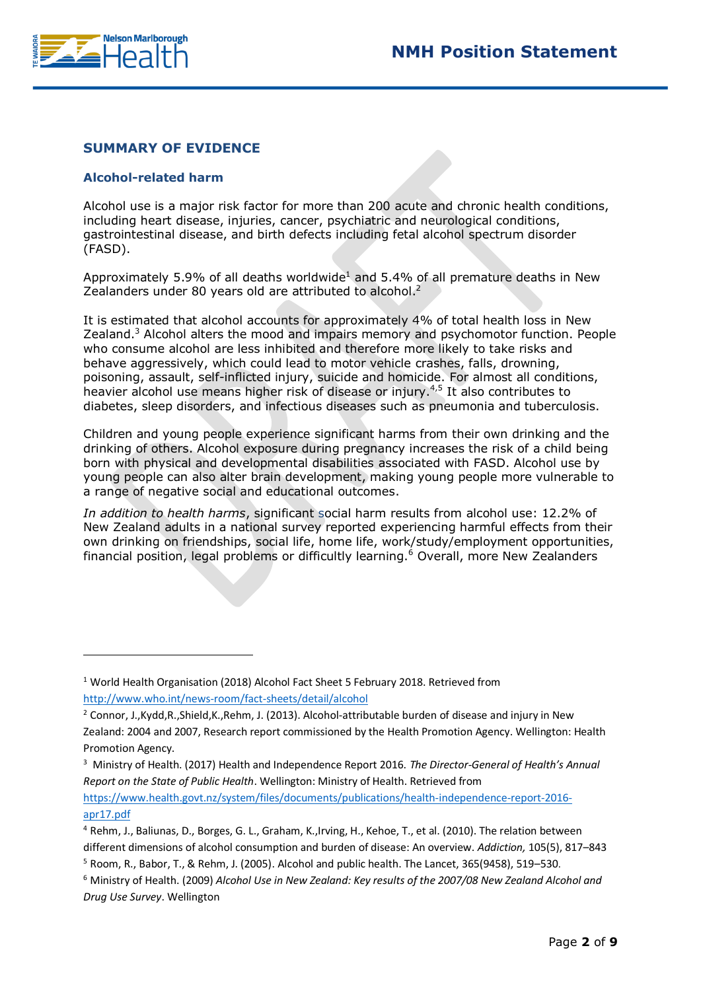

-

# **SUMMARY OF EVIDENCE**

### **Alcohol-related harm**

Alcohol use is a major risk factor for more than 200 acute and chronic health conditions, including heart disease, injuries, cancer, psychiatric and neurological conditions, gastrointestinal disease, and birth defects including fetal alcohol spectrum disorder (FASD).

Approximately 5.9% of all deaths worldwide<sup>1</sup> and 5.4% of all premature deaths in New Zealanders under 80 years old are attributed to alcohol.<sup>2</sup>

It is estimated that alcohol accounts for approximately 4% of total health loss in New  $Z$ ealand. $3$  Alcohol alters the mood and impairs memory and psychomotor function. People who consume alcohol are less inhibited and therefore more likely to take risks and behave aggressively, which could lead to motor vehicle crashes, falls, drowning, poisoning, assault, self-inflicted injury, suicide and homicide. For almost all conditions, heavier alcohol use means higher risk of disease or injury.<sup>4,5</sup> It also contributes to diabetes, sleep disorders, and infectious diseases such as pneumonia and tuberculosis.

Children and young people experience significant harms from their own drinking and the drinking of others. Alcohol exposure during pregnancy increases the risk of a child being born with physical and developmental disabilities associated with FASD. Alcohol use by young people can also alter brain development, making young people more vulnerable to a range of negative social and educational outcomes.

*In addition to health harms*, significant social harm results from alcohol use: 12.2% of New Zealand adults in a national survey reported experiencing harmful effects from their own drinking on friendships, social life, home life, work/study/employment opportunities, financial position, legal problems or difficultly learning.<sup>6</sup> Overall, more New Zealanders

<sup>1</sup> World Health Organisation (2018) Alcohol Fact Sheet 5 February 2018. Retrieved from <http://www.who.int/news-room/fact-sheets/detail/alcohol>

<sup>2</sup> Connor, J.,Kydd,R.,Shield,K.,Rehm, J. (2013). Alcohol-attributable burden of disease and injury in New Zealand: 2004 and 2007, Research report commissioned by the Health Promotion Agency. Wellington: Health Promotion Agency.

<sup>3</sup> Ministry of Health. (2017) Health and Independence Report 2016. *The Director-General of Health's Annual Report on the State of Public Health*. Wellington: Ministry of Health. Retrieved from [https://www.health.govt.nz/system/files/documents/publications/health-independence-report-2016](https://www.health.govt.nz/system/files/documents/publications/health-independence-report-2016-apr17.pdf) [apr17.pdf](https://www.health.govt.nz/system/files/documents/publications/health-independence-report-2016-apr17.pdf)

<sup>4</sup> Rehm, J., Baliunas, D., Borges, G. L., Graham, K.,Irving, H., Kehoe, T., et al. (2010). The relation between different dimensions of alcohol consumption and burden of disease: An overview. *Addiction,* 105(5), 817–843

<sup>5</sup> Room, R., Babor, T., & Rehm, J. (2005). Alcohol and public health. The Lancet, 365(9458), 519–530.

<sup>6</sup> Ministry of Health. (2009) *Alcohol Use in New Zealand: Key results of the 2007/08 New Zealand Alcohol and Drug Use Survey*. Wellington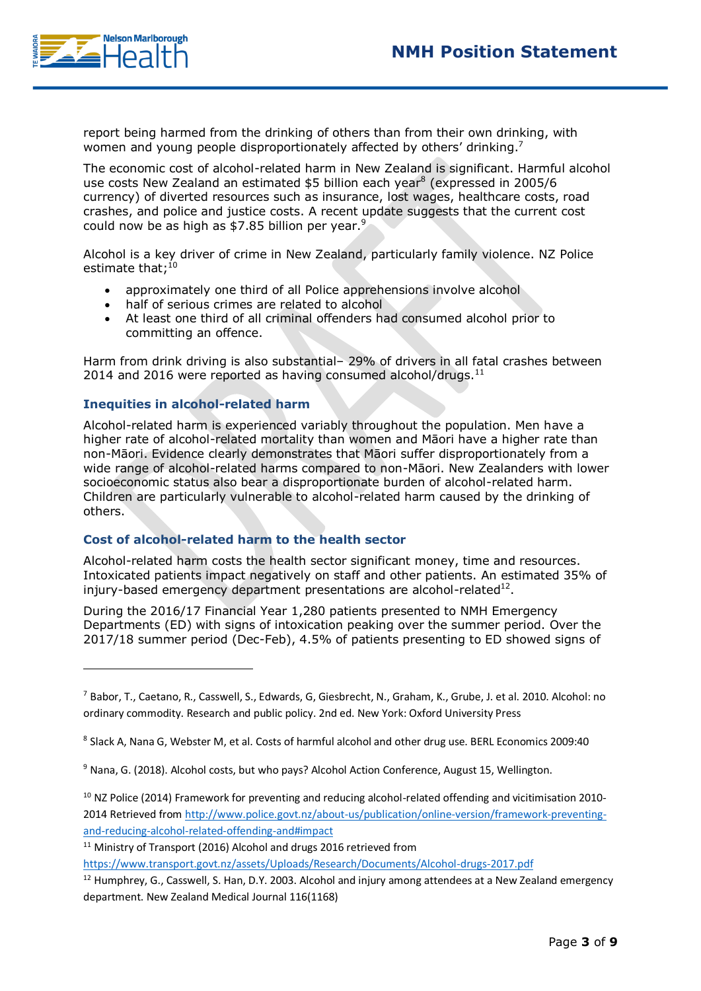

-

report being harmed from the drinking of others than from their own drinking, with women and young people disproportionately affected by others' drinking.<sup>7</sup>

The economic cost of alcohol-related harm in New Zealand is significant. Harmful alcohol use costs New Zealand an estimated \$5 billion each year<sup>8</sup> (expressed in 2005/6 currency) of diverted resources such as insurance, lost wages, healthcare costs, road crashes, and police and justice costs. A recent update suggests that the current cost could now be as high as \$7.85 billion per year.<sup>9</sup>

Alcohol is a key driver of crime in New Zealand, particularly family violence. NZ Police estimate that;<sup>10</sup>

- approximately one third of all Police apprehensions involve alcohol
- half of serious crimes are related to alcohol
- At least one third of all criminal offenders had consumed alcohol prior to committing an offence.

Harm from drink driving is also substantial- 29% of drivers in all fatal crashes between 2014 and 2016 were reported as having consumed alcohol/drugs. $^{11}$ 

#### **Inequities in alcohol-related harm**

Alcohol-related harm is experienced variably throughout the population. Men have a higher rate of alcohol-related mortality than women and Māori have a higher rate than non-Māori. Evidence clearly demonstrates that Māori suffer disproportionately from a wide range of alcohol-related harms compared to non-Māori. New Zealanders with lower socioeconomic status also bear a disproportionate burden of alcohol-related harm. Children are particularly vulnerable to alcohol-related harm caused by the drinking of others.

#### **Cost of alcohol-related harm to the health sector**

Alcohol-related harm costs the health sector significant money, time and resources. Intoxicated patients impact negatively on staff and other patients. An estimated 35% of injury-based emergency department presentations are alcohol-related $^{12}$ .

During the 2016/17 Financial Year 1,280 patients presented to NMH Emergency Departments (ED) with signs of intoxication peaking over the summer period. Over the 2017/18 summer period (Dec-Feb), 4.5% of patients presenting to ED showed signs of

 $^7$  Babor, T., Caetano, R., Casswell, S., Edwards, G, Giesbrecht, N., Graham, K., Grube, J. et al. 2010. Alcohol: no ordinary commodity. Research and public policy. 2nd ed. New York: Oxford University Press

<sup>8</sup> Slack A, Nana G, Webster M, et al. Costs of harmful alcohol and other drug use. BERL Economics 2009:40

<sup>9</sup> Nana, G. (2018). Alcohol costs, but who pays? Alcohol Action Conference, August 15, Wellington.

<sup>&</sup>lt;sup>10</sup> NZ Police (2014) Framework for preventing and reducing alcohol-related offending and vicitimisation 2010-2014 Retrieved from [http://www.police.govt.nz/about-us/publication/online-version/framework-preventing](http://www.police.govt.nz/about-us/publication/online-version/framework-preventing-and-reducing-alcohol-related-offending-and#impact)[and-reducing-alcohol-related-offending-and#impact](http://www.police.govt.nz/about-us/publication/online-version/framework-preventing-and-reducing-alcohol-related-offending-and#impact)

 $11$  Ministry of Transport (2016) Alcohol and drugs 2016 retrieved from

<https://www.transport.govt.nz/assets/Uploads/Research/Documents/Alcohol-drugs-2017.pdf>

 $12$  Humphrey, G., Casswell, S. Han, D.Y. 2003. Alcohol and injury among attendees at a New Zealand emergency department. New Zealand Medical Journal 116(1168)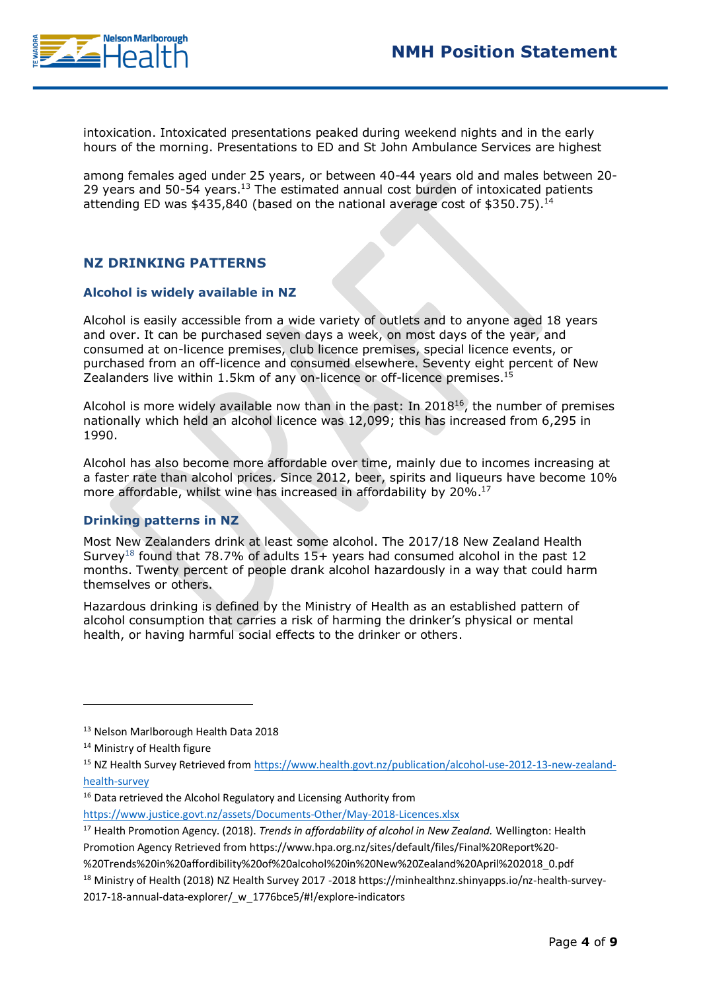

intoxication. Intoxicated presentations peaked during weekend nights and in the early hours of the morning. Presentations to ED and St John Ambulance Services are highest

among females aged under 25 years, or between 40-44 years old and males between 20- 29 years and  $50 - 54$  years.<sup>13</sup> The estimated annual cost burden of intoxicated patients attending ED was \$435,840 (based on the national average cost of \$350,75).<sup>14</sup>

# **NZ DRINKING PATTERNS**

### **Alcohol is widely available in NZ**

Alcohol is easily accessible from a wide variety of outlets and to anyone aged 18 years and over. It can be purchased seven days a week, on most days of the year, and consumed at on-licence premises, club licence premises, special licence events, or purchased from an off-licence and consumed elsewhere. Seventy eight percent of New Zealanders live within 1.5km of any on-licence or off-licence premises.<sup>15</sup>

Alcohol is more widely available now than in the past: In 2018 $^{16}$ , the number of premises nationally which held an alcohol licence was 12,099; this has increased from 6,295 in 1990.

Alcohol has also become more affordable over time, mainly due to incomes increasing at a faster rate than alcohol prices. Since 2012, beer, spirits and liqueurs have become 10% more affordable, whilst wine has increased in affordability by 20%.<sup>17</sup>

# **Drinking patterns in NZ**

Most New Zealanders drink at least some alcohol. The 2017/18 New Zealand Health Survey<sup>18</sup> found that 78.7% of adults  $15+$  years had consumed alcohol in the past 12 months. Twenty percent of people drank alcohol hazardously in a way that could harm themselves or others.

Hazardous drinking is defined by the Ministry of Health as an established pattern of alcohol consumption that carries a risk of harming the drinker's physical or mental health, or having harmful social effects to the drinker or others.

-

<https://www.justice.govt.nz/assets/Documents-Other/May-2018-Licences.xlsx>

<sup>13</sup> Nelson Marlborough Health Data 2018

<sup>&</sup>lt;sup>14</sup> Ministry of Health figure

<sup>15</sup> NZ Health Survey Retrieved from [https://www.health.govt.nz/publication/alcohol-use-2012-13-new-zealand](https://www.health.govt.nz/publication/alcohol-use-2012-13-new-zealand-health-survey)[health-survey](https://www.health.govt.nz/publication/alcohol-use-2012-13-new-zealand-health-survey)

 $16$  Data retrieved the Alcohol Regulatory and Licensing Authority from

<sup>17</sup> Health Promotion Agency. (2018). *Trends in affordability of alcohol in New Zealand.* Wellington: Health Promotion Agency Retrieved from https://www.hpa.org.nz/sites/default/files/Final%20Report%20-

<sup>%20</sup>Trends%20in%20affordibility%20of%20alcohol%20in%20New%20Zealand%20April%202018\_0.pdf

<sup>&</sup>lt;sup>18</sup> Ministry of Health (2018) NZ Health Survey 2017 -2018 https://minhealthnz.shinyapps.io/nz-health-survey-

<sup>2017-18-</sup>annual-data-explorer/\_w\_1776bce5/#!/explore-indicators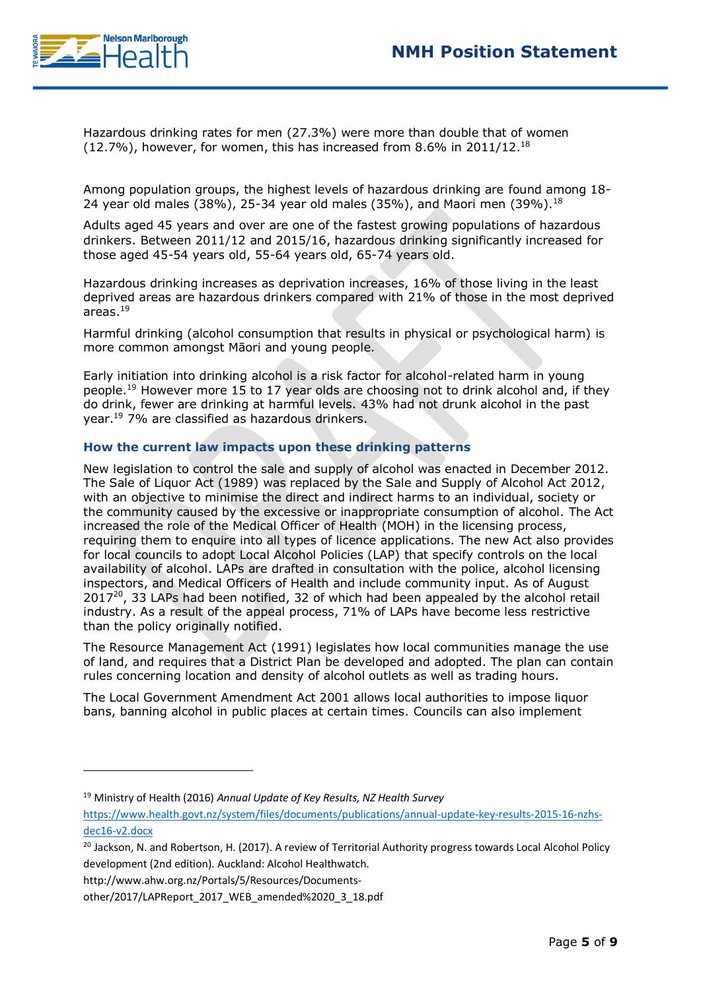

Hazardous drinking rates for men (27.3%) were more than double that of women  $(12.7%)$ , however, for women, this has increased from 8.6% in 2011/12.<sup>18</sup>

Among population groups, the highest levels of hazardous drinking are found among 18- 24 year old males  $(38\%)$ , 25-34 year old males  $(35\%)$ , and Maori men  $(39\%)$ .<sup>18</sup>

Adults aged 45 years and over are one of the fastest growing populations of hazardous drinkers. Between 2011/12 and 2015/16, hazardous drinking significantly increased for those aged 45-54 years old, 55-64 years old, 65-74 years old.

Hazardous drinking increases as deprivation increases, 16% of those living in the least deprived areas are hazardous drinkers compared with 21% of those in the most deprived areas.<sup>19</sup>

Harmful drinking (alcohol consumption that results in physical or psychological harm) is more common amongst Māori and young people.

Early initiation into drinking alcohol is a risk factor for alcohol-related harm in young people.<sup>19</sup> However more 15 to 17 year olds are choosing not to drink alcohol and, if they do drink, fewer are drinking at harmful levels. 43% had not drunk alcohol in the past year. <sup>19</sup> 7% are classified as hazardous drinkers.

# **How the current law impacts upon these drinking patterns**

New legislation to control the sale and supply of alcohol was enacted in December 2012. The Sale of Liquor Act (1989) was replaced by the Sale and Supply of Alcohol Act 2012, with an objective to minimise the direct and indirect harms to an individual, society or the community caused by the excessive or inappropriate consumption of alcohol. The Act increased the role of the Medical Officer of Health (MOH) in the licensing process, requiring them to enquire into all types of licence applications. The new Act also provides for local councils to adopt Local Alcohol Policies (LAP) that specify controls on the local availability of alcohol. LAPs are drafted in consultation with the police, alcohol licensing inspectors, and Medical Officers of Health and include community input. As of August  $2017<sup>20</sup>$ , 33 LAPs had been notified, 32 of which had been appealed by the alcohol retail industry. As a result of the appeal process, 71% of LAPs have become less restrictive than the policy originally notified.

The Resource Management Act (1991) legislates how local communities manage the use of land, and requires that a District Plan be developed and adopted. The plan can contain rules concerning location and density of alcohol outlets as well as trading hours.

The Local Government Amendment Act 2001 allows local authorities to impose liquor bans, banning alcohol in public places at certain times. Councils can also implement

http://www.ahw.org.nz/Portals/5/Resources/Documents-

-

other/2017/LAPReport\_2017\_WEB\_amended%2020\_3\_18.pdf

<sup>19</sup> Ministry of Health (2016) *Annual Update of Key Results, NZ Health Survey*

[https://www.health.govt.nz/system/files/documents/publications/annual-update-key-results-2015-16-nzhs](https://www.health.govt.nz/system/files/documents/publications/annual-update-key-results-2015-16-nzhs-dec16-v2.docx)[dec16-v2.docx](https://www.health.govt.nz/system/files/documents/publications/annual-update-key-results-2015-16-nzhs-dec16-v2.docx)

<sup>&</sup>lt;sup>20</sup> Jackson, N. and Robertson, H. (2017). A review of Territorial Authority progress towards Local Alcohol Policy development (2nd edition). Auckland: Alcohol Healthwatch.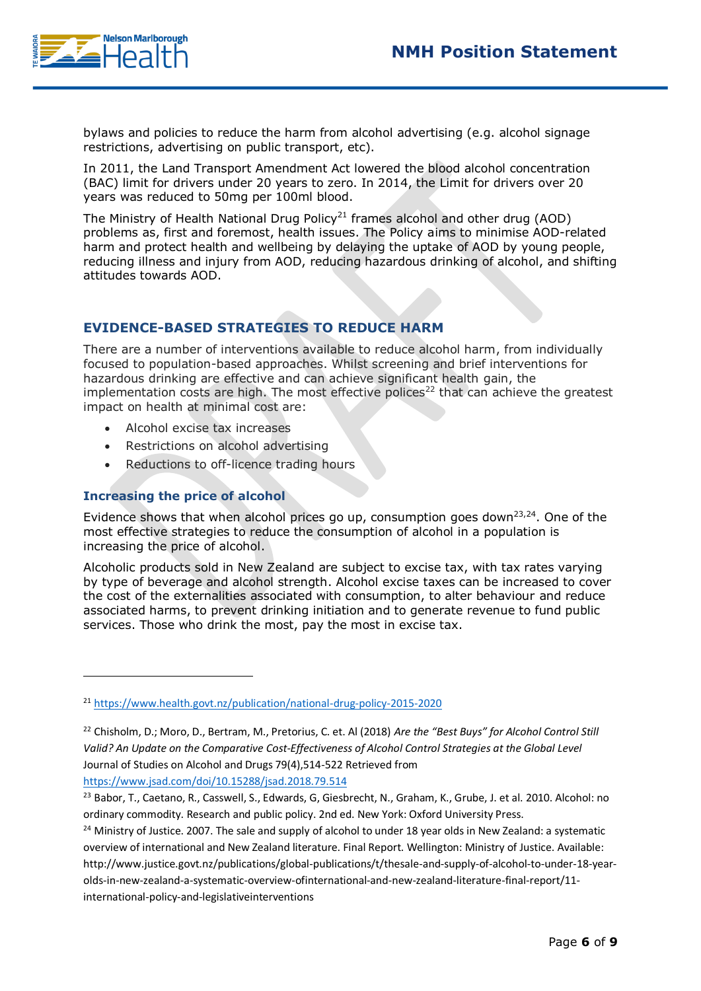

bylaws and policies to reduce the harm from alcohol advertising (e.g. alcohol signage restrictions, advertising on public transport, etc).

In 2011, the Land Transport Amendment Act lowered the blood alcohol concentration (BAC) limit for drivers under 20 years to zero. In 2014, the Limit for drivers over 20 years was reduced to 50mg per 100ml blood.

The Ministry of Health National Drug Policy<sup>21</sup> frames alcohol and other drug (AOD) problems as, first and foremost, health issues. The Policy aims to minimise AOD-related harm and protect health and wellbeing by delaying the uptake of AOD by young people, reducing illness and injury from AOD, reducing hazardous drinking of alcohol, and shifting attitudes towards AOD.

# **EVIDENCE-BASED STRATEGIES TO REDUCE HARM**

There are a number of interventions available to reduce alcohol harm, from individually focused to population-based approaches. Whilst screening and brief interventions for hazardous drinking are effective and can achieve significant health gain, the implementation costs are high. The most effective polices $^{22}$  that can achieve the greatest impact on health at minimal cost are:

- Alcohol excise tax increases
- Restrictions on alcohol advertising
- Reductions to off-licence trading hours

# **Increasing the price of alcohol**

-

Evidence shows that when alcohol prices go up, consumption goes down<sup>23,24</sup>. One of the most effective strategies to reduce the consumption of alcohol in a population is increasing the price of alcohol.

Alcoholic products sold in New Zealand are subject to excise tax, with tax rates varying by type of beverage and alcohol strength. Alcohol excise taxes can be increased to cover the cost of the externalities associated with consumption, to alter behaviour and reduce associated harms, to prevent drinking initiation and to generate revenue to fund public services. Those who drink the most, pay the most in excise tax.

<sup>23</sup> Babor, T., Caetano, R., Casswell, S., Edwards, G, Giesbrecht, N., Graham, K., Grube, J. et al. 2010. Alcohol: no ordinary commodity. Research and public policy. 2nd ed. New York: Oxford University Press.

<sup>24</sup> Ministry of Justice. 2007. The sale and supply of alcohol to under 18 year olds in New Zealand: a systematic overview of international and New Zealand literature. Final Report. Wellington: Ministry of Justice. Available: http://www.justice.govt.nz/publications/global-publications/t/thesale-and-supply-of-alcohol-to-under-18-yearolds-in-new-zealand-a-systematic-overview-ofinternational-and-new-zealand-literature-final-report/11 international-policy-and-legislativeinterventions

<sup>21</sup> <https://www.health.govt.nz/publication/national-drug-policy-2015-2020>

<sup>22</sup> Chisholm, D.; Moro, D., Bertram, M., Pretorius, C. et. Al (2018) *Are the "Best Buys" for Alcohol Control Still Valid? An Update on the Comparative Cost-Effectiveness of Alcohol Control Strategies at the Global Level* Journal of Studies on Alcohol and Drugs 79(4),514-522 Retrieved from <https://www.jsad.com/doi/10.15288/jsad.2018.79.514>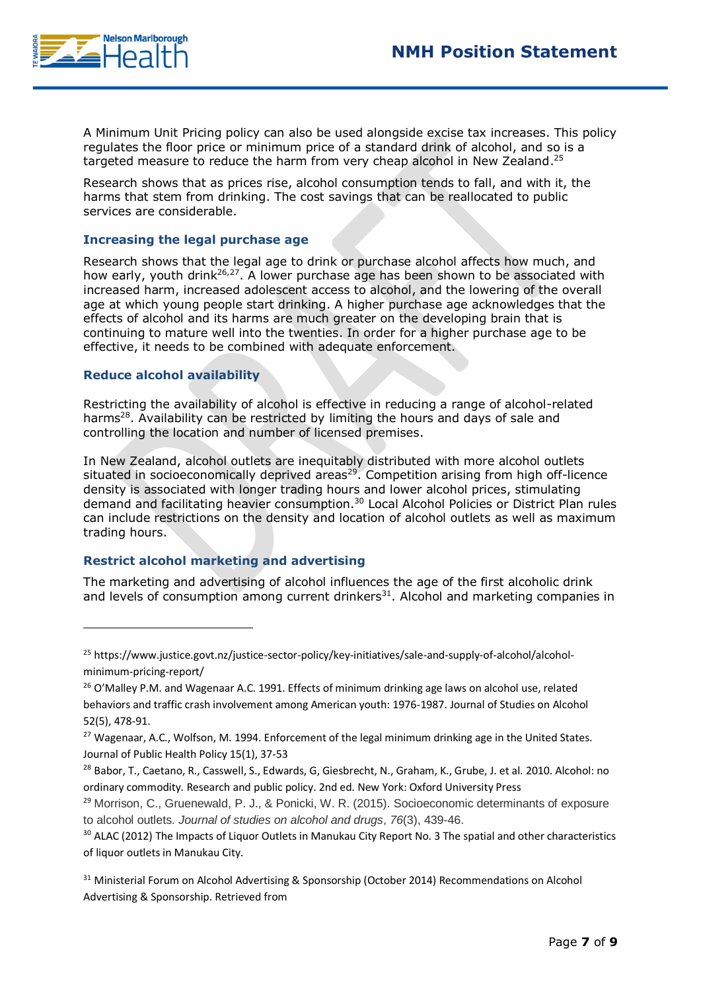

A Minimum Unit Pricing policy can also be used alongside excise tax increases. This policy regulates the floor price or minimum price of a standard drink of alcohol, and so is a targeted measure to reduce the harm from very cheap alcohol in New Zealand.<sup>25</sup>

Research shows that as prices rise, alcohol consumption tends to fall, and with it, the harms that stem from drinking. The cost savings that can be reallocated to public services are considerable.

#### **Increasing the legal purchase age**

Research shows that the legal age to drink or purchase alcohol affects how much, and how early, youth drink<sup>26,27</sup>. A lower purchase age has been shown to be associated with increased harm, increased adolescent access to alcohol, and the lowering of the overall age at which young people start drinking. A higher purchase age acknowledges that the effects of alcohol and its harms are much greater on the developing brain that is continuing to mature well into the twenties. In order for a higher purchase age to be effective, it needs to be combined with adequate enforcement.

### **Reduce alcohol availability**

-

Restricting the availability of alcohol is effective in reducing a range of alcohol-related harms<sup>28</sup>. Availability can be restricted by limiting the hours and days of sale and controlling the location and number of licensed premises.

In New Zealand, alcohol outlets are inequitably distributed with more alcohol outlets situated in socioeconomically deprived areas<sup>29</sup>. Competition arising from high off-licence density is associated with longer trading hours and lower alcohol prices, stimulating demand and facilitating heavier consumption.<sup>30</sup> Local Alcohol Policies or District Plan rules can include restrictions on the density and location of alcohol outlets as well as maximum trading hours.

# **Restrict alcohol marketing and advertising**

The marketing and advertising of alcohol influences the age of the first alcoholic drink and levels of consumption among current drinkers<sup>31</sup>. Alcohol and marketing companies in

<sup>25</sup> https://www.justice.govt.nz/justice-sector-policy/key-initiatives/sale-and-supply-of-alcohol/alcoholminimum-pricing-report/

<sup>&</sup>lt;sup>26</sup> O'Malley P.M. and Wagenaar A.C. 1991. Effects of minimum drinking age laws on alcohol use, related behaviors and traffic crash involvement among American youth: 1976-1987. Journal of Studies on Alcohol 52(5), 478-91.

<sup>&</sup>lt;sup>27</sup> Wagenaar, A.C., Wolfson, M. 1994. Enforcement of the legal minimum drinking age in the United States. Journal of Public Health Policy 15(1), 37-53

<sup>&</sup>lt;sup>28</sup> Babor, T., Caetano, R., Casswell, S., Edwards, G, Giesbrecht, N., Graham, K., Grube, J. et al. 2010. Alcohol: no ordinary commodity. Research and public policy. 2nd ed. New York: Oxford University Press

<sup>29</sup> Morrison, C., Gruenewald, P. J., & Ponicki, W. R. (2015). Socioeconomic determinants of exposure to alcohol outlets. *Journal of studies on alcohol and drugs*, *76*(3), 439-46.

<sup>&</sup>lt;sup>30</sup> ALAC (2012) The Impacts of Liquor Outlets in Manukau City Report No. 3 The spatial and other characteristics of liquor outlets in Manukau City.

<sup>&</sup>lt;sup>31</sup> Ministerial Forum on Alcohol Advertising & Sponsorship (October 2014) Recommendations on Alcohol Advertising & Sponsorship. Retrieved from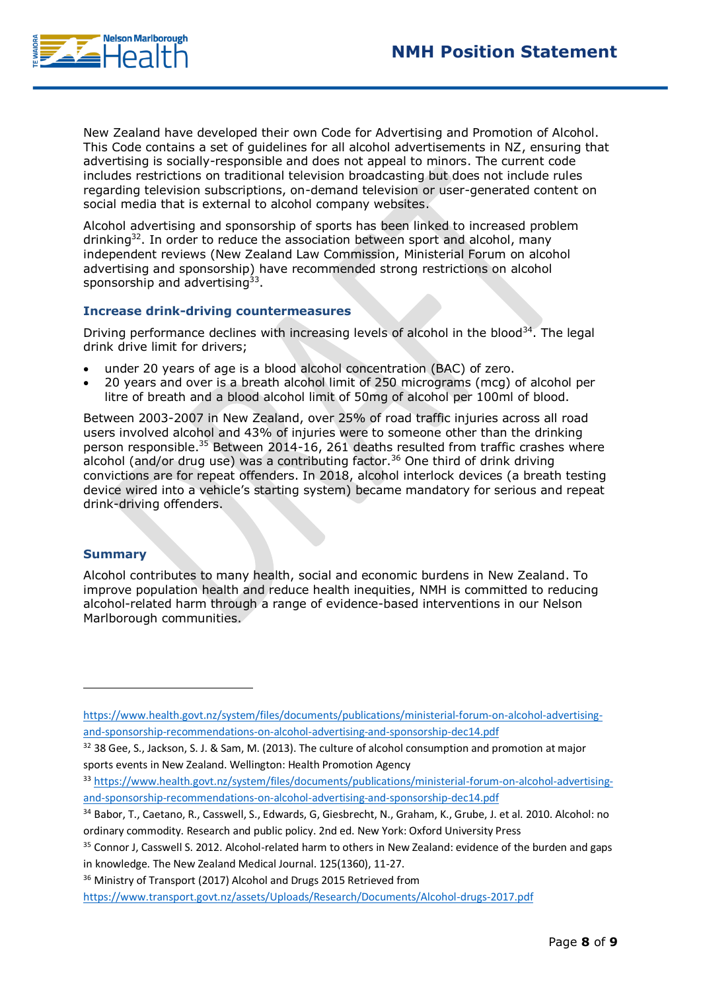

New Zealand have developed their own Code for Advertising and Promotion of Alcohol. This Code contains a set of guidelines for all alcohol advertisements in NZ, ensuring that advertising is socially-responsible and does not appeal to minors. The current code includes restrictions on traditional television broadcasting but does not include rules regarding television subscriptions, on-demand television or user-generated content on social media that is external to alcohol company websites.

Alcohol advertising and sponsorship of sports has been linked to increased problem drinking<sup>32</sup>. In order to reduce the association between sport and alcohol, many independent reviews (New Zealand Law Commission, Ministerial Forum on alcohol advertising and sponsorship) have recommended strong restrictions on alcohol sponsorship and advertising $33$ .

### **Increase drink-driving countermeasures**

Driving performance declines with increasing levels of alcohol in the blood<sup>34</sup>. The legal drink drive limit for drivers;

- under 20 years of age is a blood alcohol concentration (BAC) of zero.
- 20 years and over is a breath alcohol limit of 250 micrograms (mcg) of alcohol per litre of breath and a blood alcohol limit of 50mg of alcohol per 100ml of blood.

Between 2003-2007 in New Zealand, over 25% of road traffic injuries across all road users involved alcohol and 43% of injuries were to someone other than the drinking person responsible.<sup>35</sup> Between 2014-16, 261 deaths resulted from traffic crashes where alcohol (and/or drug use) was a contributing factor.<sup>36</sup> One third of drink driving convictions are for repeat offenders. In 2018, alcohol interlock devices (a breath testing device wired into a vehicle's starting system) became mandatory for serious and repeat drink-driving offenders.

# **Summary**

-

Alcohol contributes to many health, social and economic burdens in New Zealand. To improve population health and reduce health inequities, NMH is committed to reducing alcohol-related harm through a range of evidence-based interventions in our Nelson Marlborough communities.

<sup>35</sup> Connor J, Casswell S. 2012. Alcohol-related harm to others in New Zealand: evidence of the burden and gaps

in knowledge. The New Zealand Medical Journal. 125(1360), 11-27.

[https://www.health.govt.nz/system/files/documents/publications/ministerial-forum-on-alcohol-advertising](https://www.health.govt.nz/system/files/documents/publications/ministerial-forum-on-alcohol-advertising-and-sponsorship-recommendations-on-alcohol-advertising-and-sponsorship-dec14.pdf)[and-sponsorship-recommendations-on-alcohol-advertising-and-sponsorship-dec14.pdf](https://www.health.govt.nz/system/files/documents/publications/ministerial-forum-on-alcohol-advertising-and-sponsorship-recommendations-on-alcohol-advertising-and-sponsorship-dec14.pdf)

 $32$  38 Gee, S., Jackson, S. J. & Sam, M. (2013). The culture of alcohol consumption and promotion at major sports events in New Zealand. Wellington: Health Promotion Agency

<sup>33</sup> [https://www.health.govt.nz/system/files/documents/publications/ministerial-forum-on-alcohol-advertising](https://www.health.govt.nz/system/files/documents/publications/ministerial-forum-on-alcohol-advertising-and-sponsorship-recommendations-on-alcohol-advertising-and-sponsorship-dec14.pdf)[and-sponsorship-recommendations-on-alcohol-advertising-and-sponsorship-dec14.pdf](https://www.health.govt.nz/system/files/documents/publications/ministerial-forum-on-alcohol-advertising-and-sponsorship-recommendations-on-alcohol-advertising-and-sponsorship-dec14.pdf)

<sup>34</sup> Babor, T., Caetano, R., Casswell, S., Edwards, G, Giesbrecht, N., Graham, K., Grube, J. et al. 2010. Alcohol: no ordinary commodity. Research and public policy. 2nd ed. New York: Oxford University Press

<sup>&</sup>lt;sup>36</sup> Ministry of Transport (2017) Alcohol and Drugs 2015 Retrieved from

<https://www.transport.govt.nz/assets/Uploads/Research/Documents/Alcohol-drugs-2017.pdf>